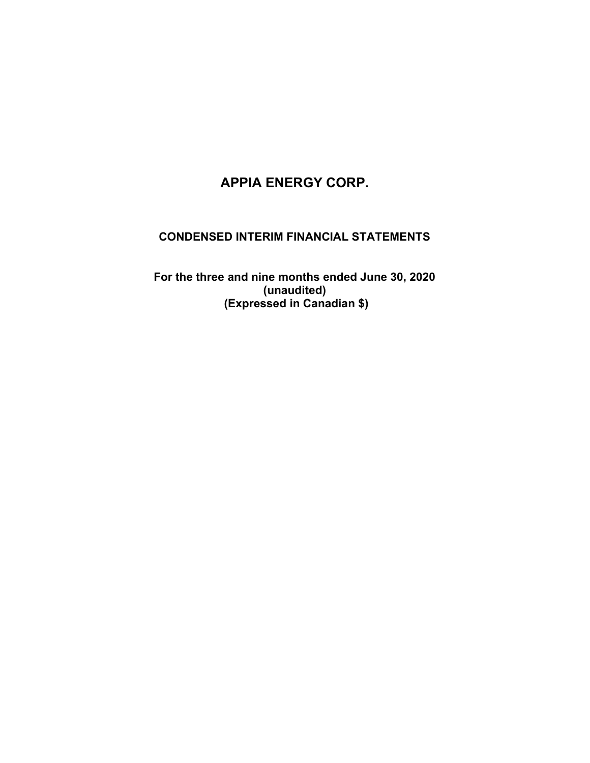# CONDENSED INTERIM FINANCIAL STATEMENTS

For the three and nine months ended June 30, 2020 (unaudited) (Expressed in Canadian \$)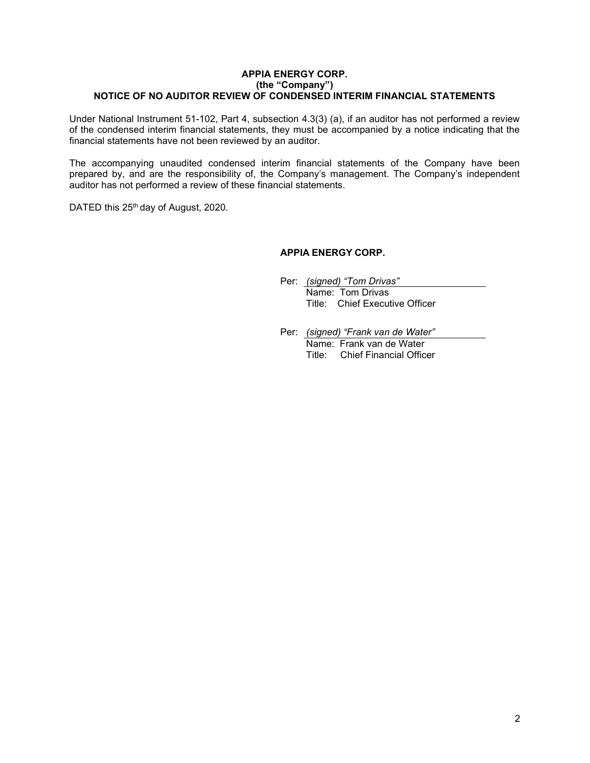## APPIA ENERGY CORP. (the "Company") NOTICE OF NO AUDITOR REVIEW OF CONDENSED INTERIM FINANCIAL STATEMENTS

Under National Instrument 51-102, Part 4, subsection 4.3(3) (a), if an auditor has not performed a review of the condensed interim financial statements, they must be accompanied by a notice indicating that the financial statements have not been reviewed by an auditor.

The accompanying unaudited condensed interim financial statements of the Company have been prepared by, and are the responsibility of, the Company's management. The Company's independent auditor has not performed a review of these financial statements.

DATED this 25<sup>th</sup> day of August, 2020.

# APPIA ENERGY CORP.

- Per: *(signed)* "Tom Drivas" Name: Tom Drivas Title: Chief Executive Officer
- Per: (signed) "Frank van de Water" Name: Frank van de Water Title: Chief Financial Officer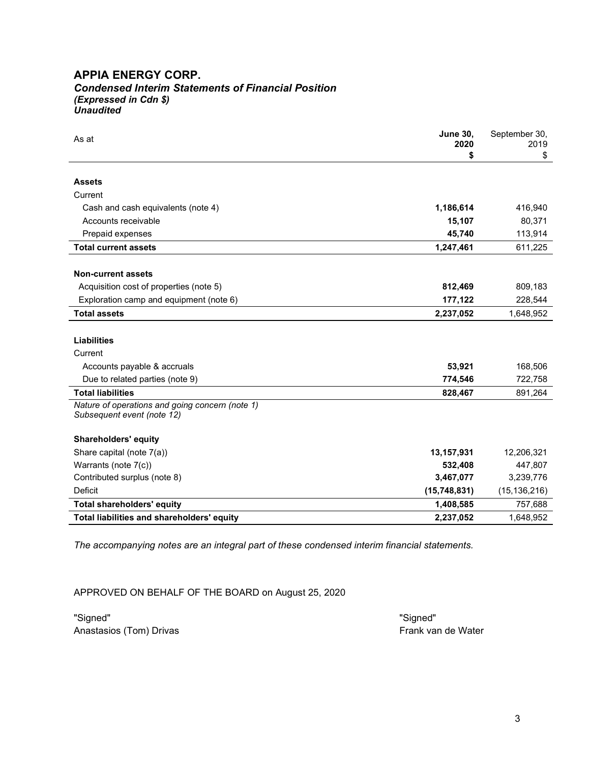# APPIA ENERGY CORP. Condensed Interim Statements of Financial Position (Expressed in Cdn \$) Unaudited

| As at                                                                         | <b>June 30,</b><br>2020<br>\$ | September 30,<br>2019<br>\$ |
|-------------------------------------------------------------------------------|-------------------------------|-----------------------------|
| <b>Assets</b>                                                                 |                               |                             |
| Current                                                                       |                               |                             |
| Cash and cash equivalents (note 4)                                            | 1,186,614                     | 416,940                     |
| Accounts receivable                                                           | 15,107                        | 80,371                      |
| Prepaid expenses                                                              | 45,740                        | 113,914                     |
| <b>Total current assets</b>                                                   | 1,247,461                     | 611,225                     |
|                                                                               |                               |                             |
| <b>Non-current assets</b>                                                     |                               |                             |
| Acquisition cost of properties (note 5)                                       | 812,469                       | 809,183                     |
| Exploration camp and equipment (note 6)                                       | 177,122                       | 228,544                     |
| <b>Total assets</b>                                                           | 2,237,052                     | 1,648,952                   |
|                                                                               |                               |                             |
| <b>Liabilities</b>                                                            |                               |                             |
| Current                                                                       |                               |                             |
| Accounts payable & accruals                                                   | 53,921                        | 168,506                     |
| Due to related parties (note 9)                                               | 774,546                       | 722,758                     |
| <b>Total liabilities</b>                                                      | 828,467                       | 891,264                     |
| Nature of operations and going concern (note 1)<br>Subsequent event (note 12) |                               |                             |
| <b>Shareholders' equity</b>                                                   |                               |                             |
| Share capital (note 7(a))                                                     | 13,157,931                    | 12,206,321                  |
| Warrants (note 7(c))                                                          | 532,408                       | 447,807                     |
| Contributed surplus (note 8)                                                  | 3,467,077                     | 3,239,776                   |
| Deficit                                                                       | (15,748,831)                  | (15, 136, 216)              |
| <b>Total shareholders' equity</b>                                             | 1,408,585                     | 757,688                     |
| Total liabilities and shareholders' equity                                    | 2,237,052                     | 1,648,952                   |

The accompanying notes are an integral part of these condensed interim financial statements.

APPROVED ON BEHALF OF THE BOARD on August 25, 2020

"Signed" "Signed" Anastasios (Tom) Drivas **Frank van de Water** Frank van de Water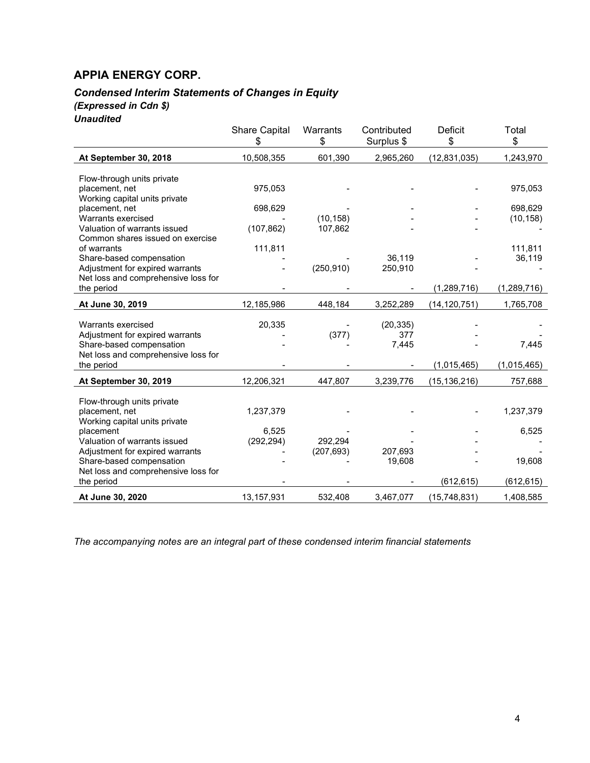# Condensed Interim Statements of Changes in Equity

(Expressed in Cdn \$)

**Unaudited** 

|                                                                                                                                        | <b>Share Capital</b><br>\$ | Warrants<br>\$        | Contributed<br>Surplus \$ | <b>Deficit</b><br>\$            | Total<br>\$                |
|----------------------------------------------------------------------------------------------------------------------------------------|----------------------------|-----------------------|---------------------------|---------------------------------|----------------------------|
| At September 30, 2018                                                                                                                  | 10,508,355                 | 601,390               | 2,965,260                 | (12, 831, 035)                  | 1,243,970                  |
| Flow-through units private<br>placement, net                                                                                           | 975,053                    |                       |                           |                                 | 975,053                    |
| Working capital units private<br>placement, net<br>Warrants exercised                                                                  | 698,629                    | (10, 158)             |                           |                                 | 698,629<br>(10, 158)       |
| Valuation of warrants issued<br>Common shares issued on exercise                                                                       | (107, 862)                 | 107,862               |                           |                                 |                            |
| of warrants<br>Share-based compensation<br>Adjustment for expired warrants<br>Net loss and comprehensive loss for                      | 111,811                    | (250, 910)            | 36.119<br>250,910         |                                 | 111,811<br>36,119          |
| the period<br>At June 30, 2019                                                                                                         | 12,185,986                 | 448,184               | 3,252,289                 | (1, 289, 716)<br>(14, 120, 751) | (1, 289, 716)<br>1,765,708 |
|                                                                                                                                        |                            |                       |                           |                                 |                            |
| Warrants exercised<br>Adjustment for expired warrants<br>Share-based compensation<br>Net loss and comprehensive loss for<br>the period | 20,335                     | (377)                 | (20, 335)<br>377<br>7,445 | (1,015,465)                     | 7,445<br>(1,015,465)       |
| At September 30, 2019                                                                                                                  | 12,206,321                 | 447,807               | 3,239,776                 | (15, 136, 216)                  | 757,688                    |
| Flow-through units private<br>placement, net<br>Working capital units private<br>placement                                             | 1,237,379<br>6,525         |                       |                           |                                 | 1,237,379<br>6,525         |
| Valuation of warrants issued<br>Adjustment for expired warrants<br>Share-based compensation                                            | (292, 294)                 | 292,294<br>(207, 693) | 207,693<br>19,608         |                                 | 19,608                     |
| Net loss and comprehensive loss for<br>the period                                                                                      |                            |                       |                           | (612, 615)                      | (612, 615)                 |
| At June 30, 2020                                                                                                                       | 13, 157, 931               | 532,408               | 3,467,077                 | (15,748,831)                    | 1,408,585                  |

The accompanying notes are an integral part of these condensed interim financial statements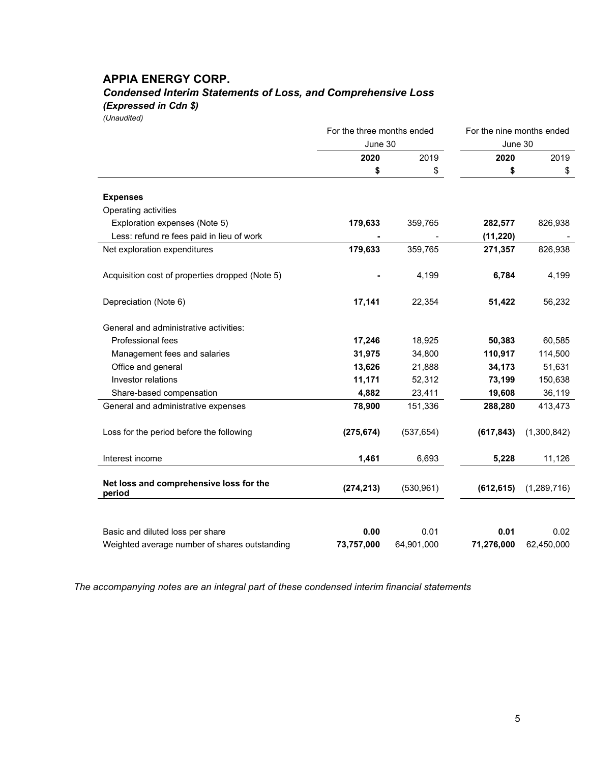Condensed Interim Statements of Loss, and Comprehensive Loss

(Expressed in Cdn \$)

(Unaudited)

|                                                   | For the three months ended<br>June 30 |            | For the nine months ended |             |
|---------------------------------------------------|---------------------------------------|------------|---------------------------|-------------|
|                                                   |                                       |            | June 30                   |             |
|                                                   | 2020                                  | 2019       |                           | 2019        |
|                                                   | \$                                    | \$         | \$                        | \$          |
|                                                   |                                       |            |                           |             |
| <b>Expenses</b>                                   |                                       |            |                           |             |
| Operating activities                              |                                       |            |                           |             |
| Exploration expenses (Note 5)                     | 179,633                               | 359,765    | 282,577                   | 826,938     |
| Less: refund re fees paid in lieu of work         |                                       |            | (11, 220)                 |             |
| Net exploration expenditures                      | 179,633                               | 359,765    | 271,357                   | 826,938     |
| Acquisition cost of properties dropped (Note 5)   |                                       | 4,199      | 6,784                     | 4,199       |
| Depreciation (Note 6)                             | 17,141                                | 22,354     | 51,422                    | 56,232      |
| General and administrative activities:            |                                       |            |                           |             |
| Professional fees                                 | 17,246                                | 18,925     | 50,383                    | 60,585      |
| Management fees and salaries                      | 31,975                                | 34,800     | 110,917                   | 114,500     |
| Office and general                                | 13,626                                | 21,888     | 34,173                    | 51,631      |
| Investor relations                                | 11,171                                | 52,312     | 73,199                    | 150,638     |
| Share-based compensation                          | 4,882                                 | 23,411     | 19,608                    | 36,119      |
| General and administrative expenses               | 78,900                                | 151,336    | 288,280                   | 413,473     |
| Loss for the period before the following          | (275, 674)                            | (537, 654) | (617, 843)                | (1,300,842) |
| Interest income                                   | 1,461                                 | 6,693      | 5,228                     | 11,126      |
| Net loss and comprehensive loss for the<br>period | (274, 213)                            | (530, 961) | (612, 615)                | (1,289,716) |
|                                                   |                                       |            |                           |             |
| Basic and diluted loss per share                  | 0.00                                  | 0.01       | 0.01                      | 0.02        |
| Weighted average number of shares outstanding     | 73,757,000                            | 64,901,000 | 71,276,000                | 62,450,000  |

The accompanying notes are an integral part of these condensed interim financial statements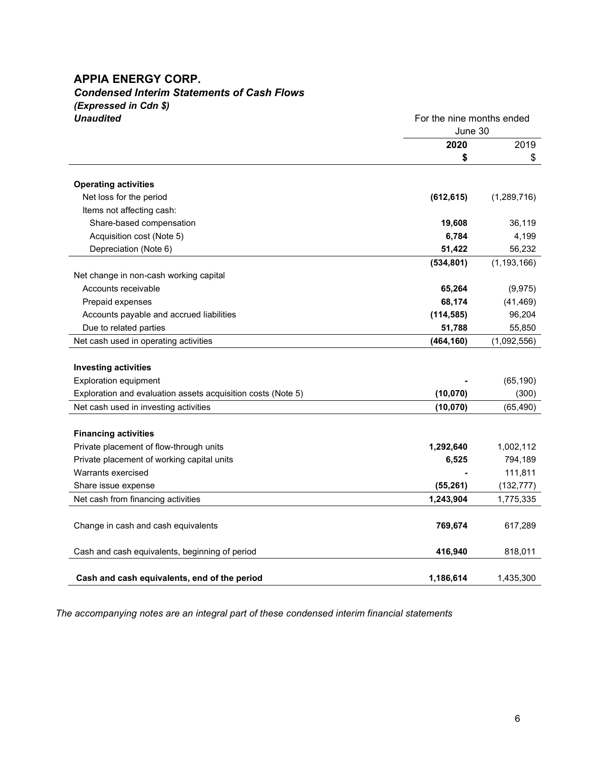# Condensed Interim Statements of Cash Flows

(Expressed in Cdn \$)

| <b>Unaudited</b>                                             |            | For the nine months ended<br>June 30 |  |  |
|--------------------------------------------------------------|------------|--------------------------------------|--|--|
|                                                              | 2020       | 2019                                 |  |  |
|                                                              | \$         | \$                                   |  |  |
| <b>Operating activities</b>                                  |            |                                      |  |  |
| Net loss for the period                                      | (612, 615) | (1, 289, 716)                        |  |  |
| Items not affecting cash:                                    |            |                                      |  |  |
| Share-based compensation                                     | 19,608     | 36,119                               |  |  |
| Acquisition cost (Note 5)                                    | 6,784      | 4,199                                |  |  |
| Depreciation (Note 6)                                        | 51,422     | 56,232                               |  |  |
|                                                              | (534, 801) | (1, 193, 166)                        |  |  |
| Net change in non-cash working capital                       |            |                                      |  |  |
| Accounts receivable                                          | 65,264     | (9, 975)                             |  |  |
| Prepaid expenses                                             | 68,174     | (41, 469)                            |  |  |
| Accounts payable and accrued liabilities                     | (114, 585) | 96,204                               |  |  |
| Due to related parties                                       | 51,788     | 55,850                               |  |  |
| Net cash used in operating activities                        | (464, 160) | (1,092,556)                          |  |  |
|                                                              |            |                                      |  |  |
| <b>Investing activities</b>                                  |            |                                      |  |  |
| <b>Exploration equipment</b>                                 |            | (65, 190)                            |  |  |
| Exploration and evaluation assets acquisition costs (Note 5) | (10, 070)  | (300)                                |  |  |
| Net cash used in investing activities                        | (10, 070)  | (65, 490)                            |  |  |
|                                                              |            |                                      |  |  |
| <b>Financing activities</b>                                  |            |                                      |  |  |
| Private placement of flow-through units                      | 1,292,640  | 1,002,112                            |  |  |
| Private placement of working capital units                   | 6,525      | 794,189                              |  |  |
| <b>Warrants exercised</b>                                    |            | 111,811                              |  |  |
| Share issue expense                                          | (55, 261)  | (132, 777)                           |  |  |
| Net cash from financing activities                           | 1,243,904  | 1,775,335                            |  |  |
|                                                              |            |                                      |  |  |
| Change in cash and cash equivalents                          | 769,674    | 617,289                              |  |  |
| Cash and cash equivalents, beginning of period               | 416,940    | 818,011                              |  |  |
|                                                              |            |                                      |  |  |
| Cash and cash equivalents, end of the period                 | 1,186,614  | 1,435,300                            |  |  |

The accompanying notes are an integral part of these condensed interim financial statements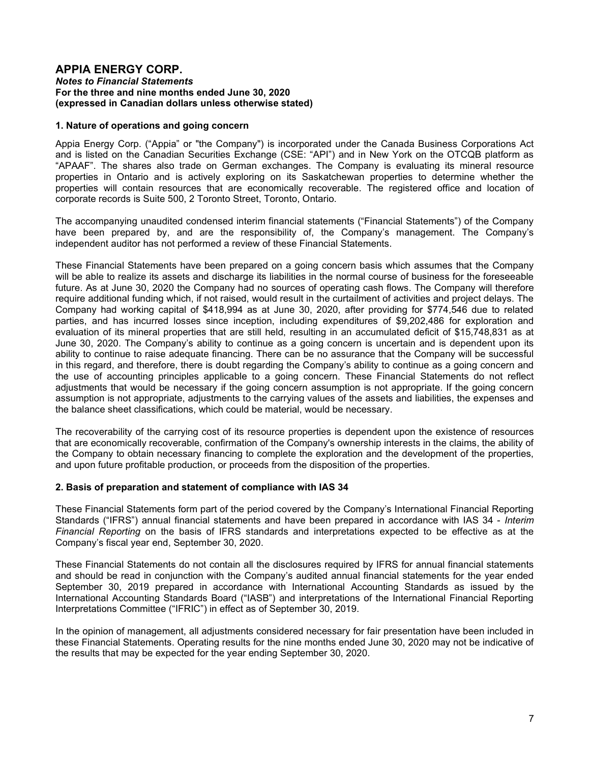#### Notes to Financial Statements For the three and nine months ended June 30, 2020 (expressed in Canadian dollars unless otherwise stated)

### 1. Nature of operations and going concern

Appia Energy Corp. ("Appia" or "the Company") is incorporated under the Canada Business Corporations Act and is listed on the Canadian Securities Exchange (CSE: "API") and in New York on the OTCQB platform as "APAAF". The shares also trade on German exchanges. The Company is evaluating its mineral resource properties in Ontario and is actively exploring on its Saskatchewan properties to determine whether the properties will contain resources that are economically recoverable. The registered office and location of corporate records is Suite 500, 2 Toronto Street, Toronto, Ontario.

The accompanying unaudited condensed interim financial statements ("Financial Statements") of the Company have been prepared by, and are the responsibility of, the Company's management. The Company's independent auditor has not performed a review of these Financial Statements.

These Financial Statements have been prepared on a going concern basis which assumes that the Company will be able to realize its assets and discharge its liabilities in the normal course of business for the foreseeable future. As at June 30, 2020 the Company had no sources of operating cash flows. The Company will therefore require additional funding which, if not raised, would result in the curtailment of activities and project delays. The Company had working capital of \$418,994 as at June 30, 2020, after providing for \$774,546 due to related parties, and has incurred losses since inception, including expenditures of \$9,202,486 for exploration and evaluation of its mineral properties that are still held, resulting in an accumulated deficit of \$15,748,831 as at June 30, 2020. The Company's ability to continue as a going concern is uncertain and is dependent upon its ability to continue to raise adequate financing. There can be no assurance that the Company will be successful in this regard, and therefore, there is doubt regarding the Company's ability to continue as a going concern and the use of accounting principles applicable to a going concern. These Financial Statements do not reflect adjustments that would be necessary if the going concern assumption is not appropriate. If the going concern assumption is not appropriate, adjustments to the carrying values of the assets and liabilities, the expenses and the balance sheet classifications, which could be material, would be necessary.

The recoverability of the carrying cost of its resource properties is dependent upon the existence of resources that are economically recoverable, confirmation of the Company's ownership interests in the claims, the ability of the Company to obtain necessary financing to complete the exploration and the development of the properties, and upon future profitable production, or proceeds from the disposition of the properties.

#### 2. Basis of preparation and statement of compliance with IAS 34

These Financial Statements form part of the period covered by the Company's International Financial Reporting Standards ("IFRS") annual financial statements and have been prepared in accordance with IAS 34 - Interim Financial Reporting on the basis of IFRS standards and interpretations expected to be effective as at the Company's fiscal year end, September 30, 2020.

These Financial Statements do not contain all the disclosures required by IFRS for annual financial statements and should be read in conjunction with the Company's audited annual financial statements for the year ended September 30, 2019 prepared in accordance with International Accounting Standards as issued by the International Accounting Standards Board ("IASB") and interpretations of the International Financial Reporting Interpretations Committee ("IFRIC") in effect as of September 30, 2019.

In the opinion of management, all adjustments considered necessary for fair presentation have been included in these Financial Statements. Operating results for the nine months ended June 30, 2020 may not be indicative of the results that may be expected for the year ending September 30, 2020.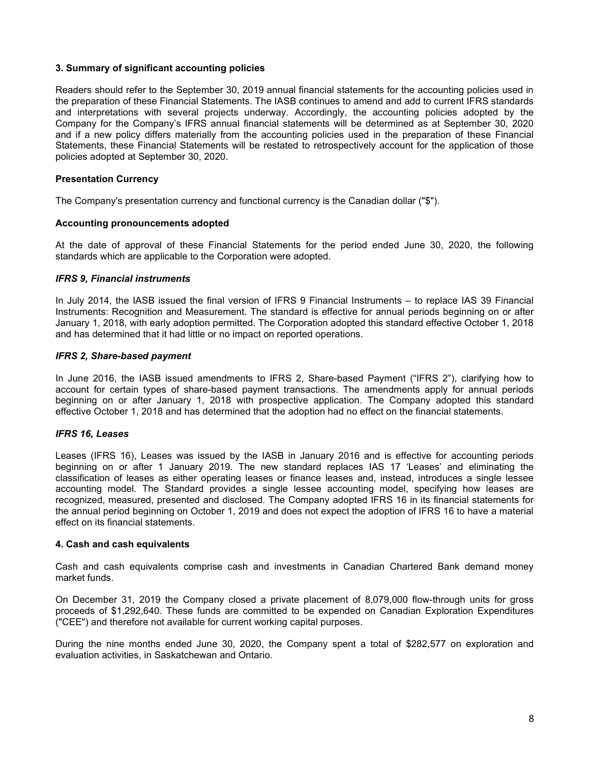### 3. Summary of significant accounting policies

Readers should refer to the September 30, 2019 annual financial statements for the accounting policies used in the preparation of these Financial Statements. The IASB continues to amend and add to current IFRS standards and interpretations with several projects underway. Accordingly, the accounting policies adopted by the Company for the Company's IFRS annual financial statements will be determined as at September 30, 2020 and if a new policy differs materially from the accounting policies used in the preparation of these Financial Statements, these Financial Statements will be restated to retrospectively account for the application of those policies adopted at September 30, 2020.

## Presentation Currency

The Company's presentation currency and functional currency is the Canadian dollar ("\$").

#### Accounting pronouncements adopted

At the date of approval of these Financial Statements for the period ended June 30, 2020, the following standards which are applicable to the Corporation were adopted.

## IFRS 9, Financial instruments

In July 2014, the IASB issued the final version of IFRS 9 Financial Instruments – to replace IAS 39 Financial Instruments: Recognition and Measurement. The standard is effective for annual periods beginning on or after January 1, 2018, with early adoption permitted. The Corporation adopted this standard effective October 1, 2018 and has determined that it had little or no impact on reported operations.

## IFRS 2, Share-based payment

In June 2016, the IASB issued amendments to IFRS 2, Share-based Payment ("IFRS 2"), clarifying how to account for certain types of share-based payment transactions. The amendments apply for annual periods beginning on or after January 1, 2018 with prospective application. The Company adopted this standard effective October 1, 2018 and has determined that the adoption had no effect on the financial statements.

# IFRS 16, Leases

Leases (IFRS 16), Leases was issued by the IASB in January 2016 and is effective for accounting periods beginning on or after 1 January 2019. The new standard replaces IAS 17 'Leases' and eliminating the classification of leases as either operating leases or finance leases and, instead, introduces a single lessee accounting model. The Standard provides a single lessee accounting model, specifying how leases are recognized, measured, presented and disclosed. The Company adopted IFRS 16 in its financial statements for the annual period beginning on October 1, 2019 and does not expect the adoption of IFRS 16 to have a material effect on its financial statements.

#### 4. Cash and cash equivalents

Cash and cash equivalents comprise cash and investments in Canadian Chartered Bank demand money market funds.

On December 31, 2019 the Company closed a private placement of 8,079,000 flow-through units for gross proceeds of \$1,292,640. These funds are committed to be expended on Canadian Exploration Expenditures ("CEE") and therefore not available for current working capital purposes.

During the nine months ended June 30, 2020, the Company spent a total of \$282,577 on exploration and evaluation activities, in Saskatchewan and Ontario.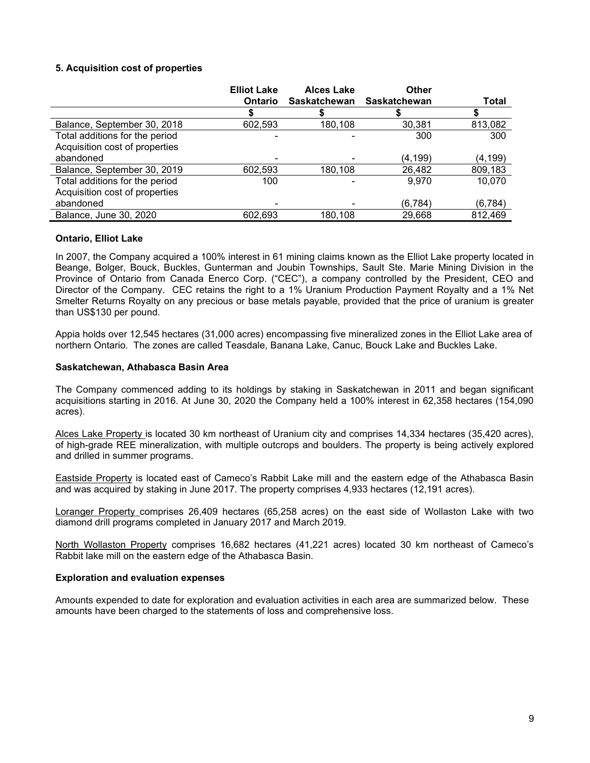# 5. Acquisition cost of properties

|                                | <b>Elliot Lake</b> | <b>Alces Lake</b> | <b>Other</b> |              |
|--------------------------------|--------------------|-------------------|--------------|--------------|
|                                | <b>Ontario</b>     | Saskatchewan      | Saskatchewan | <b>Total</b> |
|                                |                    |                   |              |              |
| Balance, September 30, 2018    | 602,593            | 180,108           | 30,381       | 813,082      |
| Total additions for the period | ۰                  |                   | 300          | 300          |
| Acquisition cost of properties |                    |                   |              |              |
| abandoned                      | -                  |                   | (4, 199)     | (4, 199)     |
| Balance, September 30, 2019    | 602,593            | 180,108           | 26,482       | 809,183      |
| Total additions for the period | 100                |                   | 9,970        | 10,070       |
| Acquisition cost of properties |                    |                   |              |              |
| abandoned                      | ۰                  |                   | (6,784)      | (6, 784)     |
| Balance, June 30, 2020         | 602.693            | 180,108           | 29,668       | 812,469      |

#### Ontario, Elliot Lake

In 2007, the Company acquired a 100% interest in 61 mining claims known as the Elliot Lake property located in Beange, Bolger, Bouck, Buckles, Gunterman and Joubin Townships, Sault Ste. Marie Mining Division in the Province of Ontario from Canada Enerco Corp. ("CEC"), a company controlled by the President, CEO and Director of the Company. CEC retains the right to a 1% Uranium Production Payment Royalty and a 1% Net Smelter Returns Royalty on any precious or base metals payable, provided that the price of uranium is greater than US\$130 per pound.

Appia holds over 12,545 hectares (31,000 acres) encompassing five mineralized zones in the Elliot Lake area of northern Ontario. The zones are called Teasdale, Banana Lake, Canuc, Bouck Lake and Buckles Lake.

#### Saskatchewan, Athabasca Basin Area

The Company commenced adding to its holdings by staking in Saskatchewan in 2011 and began significant acquisitions starting in 2016. At June 30, 2020 the Company held a 100% interest in 62,358 hectares (154,090 acres).

Alces Lake Property is located 30 km northeast of Uranium city and comprises 14,334 hectares (35,420 acres), of high-grade REE mineralization, with multiple outcrops and boulders. The property is being actively explored and drilled in summer programs.

Eastside Property is located east of Cameco's Rabbit Lake mill and the eastern edge of the Athabasca Basin and was acquired by staking in June 2017. The property comprises 4,933 hectares (12,191 acres).

Loranger Property comprises 26,409 hectares (65,258 acres) on the east side of Wollaston Lake with two diamond drill programs completed in January 2017 and March 2019.

North Wollaston Property comprises 16,682 hectares (41,221 acres) located 30 km northeast of Cameco's Rabbit lake mill on the eastern edge of the Athabasca Basin.

#### Exploration and evaluation expenses

Amounts expended to date for exploration and evaluation activities in each area are summarized below. These amounts have been charged to the statements of loss and comprehensive loss.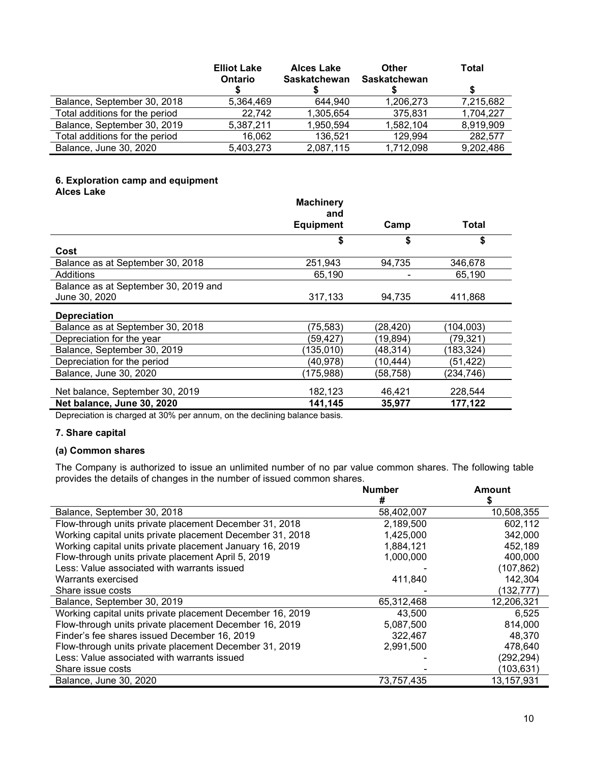|                                | <b>Elliot Lake</b><br><b>Ontario</b> | Alces Lake<br><b>Saskatchewan</b> | Other<br><b>Saskatchewan</b> | Total     |
|--------------------------------|--------------------------------------|-----------------------------------|------------------------------|-----------|
|                                |                                      |                                   |                              |           |
| Balance, September 30, 2018    | 5,364,469                            | 644.940                           | 1,206,273                    | 7,215,682 |
| Total additions for the period | 22,742                               | 1,305,654                         | 375,831                      | 1,704,227 |
| Balance, September 30, 2019    | 5,387,211                            | 1,950,594                         | 1,582,104                    | 8,919,909 |
| Total additions for the period | 16.062                               | 136.521                           | 129,994                      | 282.577   |
| Balance, June 30, 2020         | 5,403,273                            | 2,087,115                         | 1,712,098                    | 9,202,486 |

# 6. Exploration camp and equipment

Alces Lake

|                                      | <b>Machinery</b><br>and |           |            |
|--------------------------------------|-------------------------|-----------|------------|
|                                      | <b>Equipment</b>        | Camp      | Total      |
|                                      | \$                      | \$        | \$         |
| Cost                                 |                         |           |            |
| Balance as at September 30, 2018     | 251,943                 | 94,735    | 346,678    |
| Additions                            | 65,190                  |           | 65,190     |
| Balance as at September 30, 2019 and |                         |           |            |
| June 30, 2020                        | 317,133                 | 94,735    | 411,868    |
| <b>Depreciation</b>                  |                         |           |            |
| Balance as at September 30, 2018     | (75, 583)               | (28, 420) | (104, 003) |
| Depreciation for the year            | (59,427)                | (19,894)  | (79,321)   |
| Balance, September 30, 2019          | (135,010)               | (48,314)  | (183,324)  |
| Depreciation for the period          | (40,978)                | (10,444)  | (51,422)   |
| Balance, June 30, 2020               | (175,988)               | (58,758)  | (234,746)  |
| Net balance, September 30, 2019      | 182,123                 | 46,421    | 228,544    |
| Net balance, June 30, 2020           | 141,145                 | 35,977    | 177,122    |

Depreciation is charged at 30% per annum, on the declining balance basis.

## 7. Share capital

### (a) Common shares

The Company is authorized to issue an unlimited number of no par value common shares. The following table provides the details of changes in the number of issued common shares.

|                                                           | <b>Number</b><br># | Amount     |
|-----------------------------------------------------------|--------------------|------------|
| Balance, September 30, 2018                               | 58,402,007         | 10,508,355 |
| Flow-through units private placement December 31, 2018    | 2,189,500          | 602,112    |
| Working capital units private placement December 31, 2018 | 1,425,000          | 342,000    |
| Working capital units private placement January 16, 2019  | 1,884,121          | 452,189    |
| Flow-through units private placement April 5, 2019        | 1,000,000          | 400,000    |
| Less: Value associated with warrants issued               |                    | (107, 862) |
| Warrants exercised                                        | 411,840            | 142,304    |
| Share issue costs                                         |                    | (132,777)  |
| Balance, September 30, 2019                               | 65,312,468         | 12,206,321 |
| Working capital units private placement December 16, 2019 | 43.500             | 6,525      |
| Flow-through units private placement December 16, 2019    | 5,087,500          | 814,000    |
| Finder's fee shares issued December 16, 2019              | 322,467            | 48,370     |
| Flow-through units private placement December 31, 2019    | 2,991,500          | 478,640    |
| Less: Value associated with warrants issued               |                    | (292,294)  |
| Share issue costs                                         |                    | (103,631)  |
| Balance, June 30, 2020                                    | 73,757,435         | 13,157,931 |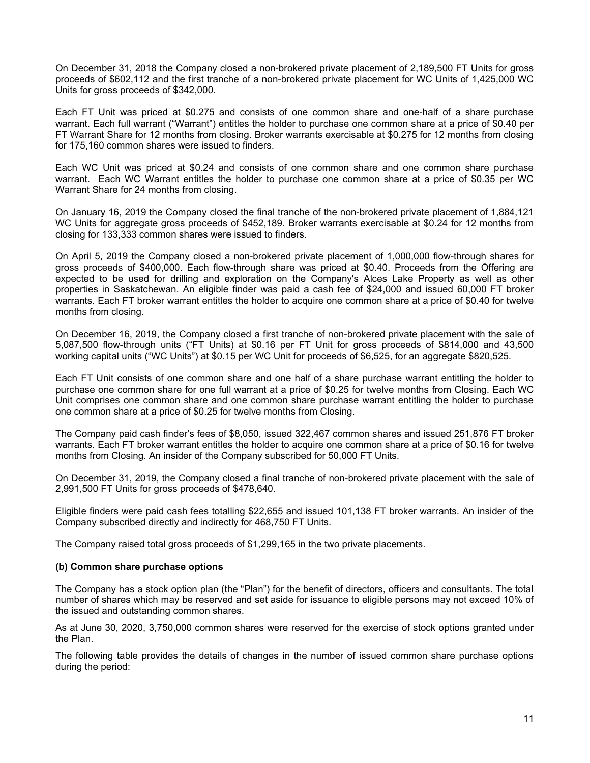On December 31, 2018 the Company closed a non-brokered private placement of 2,189,500 FT Units for gross proceeds of \$602,112 and the first tranche of a non-brokered private placement for WC Units of 1,425,000 WC Units for gross proceeds of \$342,000.

Each FT Unit was priced at \$0.275 and consists of one common share and one-half of a share purchase warrant. Each full warrant ("Warrant") entitles the holder to purchase one common share at a price of \$0.40 per FT Warrant Share for 12 months from closing. Broker warrants exercisable at \$0.275 for 12 months from closing for 175,160 common shares were issued to finders.

Each WC Unit was priced at \$0.24 and consists of one common share and one common share purchase warrant. Each WC Warrant entitles the holder to purchase one common share at a price of \$0.35 per WC Warrant Share for 24 months from closing.

On January 16, 2019 the Company closed the final tranche of the non-brokered private placement of 1,884,121 WC Units for aggregate gross proceeds of \$452,189. Broker warrants exercisable at \$0.24 for 12 months from closing for 133,333 common shares were issued to finders.

On April 5, 2019 the Company closed a non-brokered private placement of 1,000,000 flow-through shares for gross proceeds of \$400,000. Each flow-through share was priced at \$0.40. Proceeds from the Offering are expected to be used for drilling and exploration on the Company's Alces Lake Property as well as other properties in Saskatchewan. An eligible finder was paid a cash fee of \$24,000 and issued 60,000 FT broker warrants. Each FT broker warrant entitles the holder to acquire one common share at a price of \$0.40 for twelve months from closing.

On December 16, 2019, the Company closed a first tranche of non-brokered private placement with the sale of 5,087,500 flow-through units ("FT Units) at \$0.16 per FT Unit for gross proceeds of \$814,000 and 43,500 working capital units ("WC Units") at \$0.15 per WC Unit for proceeds of \$6,525, for an aggregate \$820,525.

Each FT Unit consists of one common share and one half of a share purchase warrant entitling the holder to purchase one common share for one full warrant at a price of \$0.25 for twelve months from Closing. Each WC Unit comprises one common share and one common share purchase warrant entitling the holder to purchase one common share at a price of \$0.25 for twelve months from Closing.

The Company paid cash finder's fees of \$8,050, issued 322,467 common shares and issued 251,876 FT broker warrants. Each FT broker warrant entitles the holder to acquire one common share at a price of \$0.16 for twelve months from Closing. An insider of the Company subscribed for 50,000 FT Units.

On December 31, 2019, the Company closed a final tranche of non-brokered private placement with the sale of 2,991,500 FT Units for gross proceeds of \$478,640.

Eligible finders were paid cash fees totalling \$22,655 and issued 101,138 FT broker warrants. An insider of the Company subscribed directly and indirectly for 468,750 FT Units.

The Company raised total gross proceeds of \$1,299,165 in the two private placements.

#### (b) Common share purchase options

The Company has a stock option plan (the "Plan") for the benefit of directors, officers and consultants. The total number of shares which may be reserved and set aside for issuance to eligible persons may not exceed 10% of the issued and outstanding common shares.

As at June 30, 2020, 3,750,000 common shares were reserved for the exercise of stock options granted under the Plan.

The following table provides the details of changes in the number of issued common share purchase options during the period: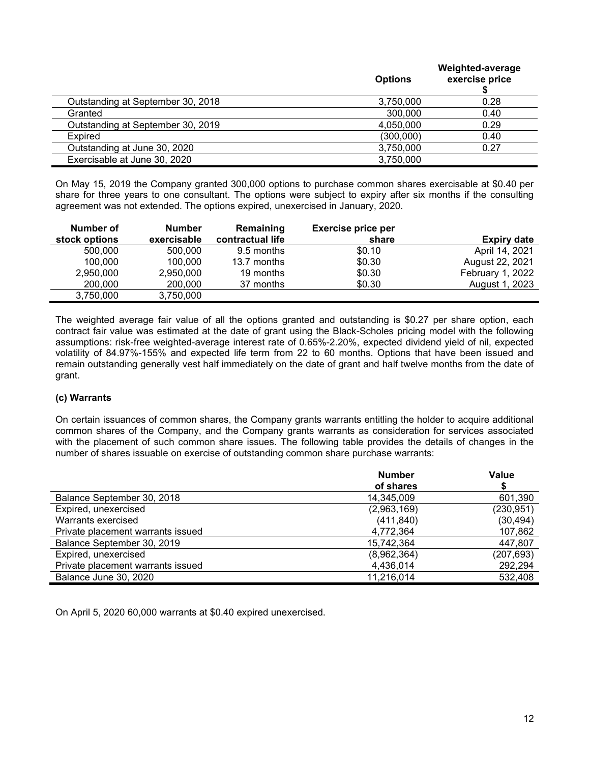|                                   | <b>Options</b> | Weighted-average<br>exercise price |
|-----------------------------------|----------------|------------------------------------|
| Outstanding at September 30, 2018 | 3,750,000      | 0.28                               |
| Granted                           | 300,000        | 0.40                               |
| Outstanding at September 30, 2019 | 4,050,000      | 0.29                               |
| <b>Expired</b>                    | (300,000)      | 0.40                               |
| Outstanding at June 30, 2020      | 3,750,000      | 0.27                               |
| Exercisable at June 30, 2020      | 3,750,000      |                                    |

On May 15, 2019 the Company granted 300,000 options to purchase common shares exercisable at \$0.40 per share for three years to one consultant. The options were subject to expiry after six months if the consulting agreement was not extended. The options expired, unexercised in January, 2020.

| Number of     | <b>Number</b> | Remaining        | <b>Exercise price per</b> |                    |
|---------------|---------------|------------------|---------------------------|--------------------|
| stock options | exercisable   | contractual life | share                     | <b>Expiry date</b> |
| 500,000       | 500,000       | 9.5 months       | \$0.10                    | April 14, 2021     |
| 100.000       | 100,000       | 13.7 months      | \$0.30                    | August 22, 2021    |
| 2.950.000     | 2.950.000     | 19 months        | \$0.30                    | February 1, 2022   |
| 200,000       | 200,000       | 37 months        | \$0.30                    | August 1, 2023     |
| 3,750,000     | 3,750,000     |                  |                           |                    |

The weighted average fair value of all the options granted and outstanding is \$0.27 per share option, each contract fair value was estimated at the date of grant using the Black-Scholes pricing model with the following assumptions: risk-free weighted-average interest rate of 0.65%-2.20%, expected dividend yield of nil, expected volatility of 84.97%-155% and expected life term from 22 to 60 months. Options that have been issued and remain outstanding generally vest half immediately on the date of grant and half twelve months from the date of grant.

# (c) Warrants

On certain issuances of common shares, the Company grants warrants entitling the holder to acquire additional common shares of the Company, and the Company grants warrants as consideration for services associated with the placement of such common share issues. The following table provides the details of changes in the number of shares issuable on exercise of outstanding common share purchase warrants:

|                                   | <b>Number</b> | Value      |
|-----------------------------------|---------------|------------|
|                                   | of shares     |            |
| Balance September 30, 2018        | 14,345,009    | 601,390    |
| Expired, unexercised              | (2,963,169)   | (230, 951) |
| Warrants exercised                | (411, 840)    | (30, 494)  |
| Private placement warrants issued | 4,772,364     | 107,862    |
| Balance September 30, 2019        | 15,742,364    | 447,807    |
| Expired, unexercised              | (8,962,364)   | (207, 693) |
| Private placement warrants issued | 4,436,014     | 292,294    |
| Balance June 30, 2020             | 11,216,014    | 532,408    |

On April 5, 2020 60,000 warrants at \$0.40 expired unexercised.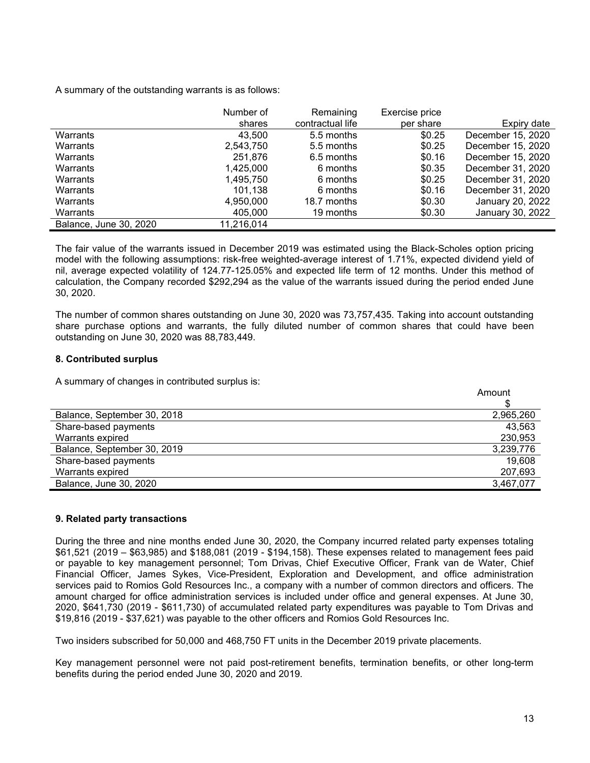A summary of the outstanding warrants is as follows:

|                        | Number of  | Remaining        | Exercise price |                   |
|------------------------|------------|------------------|----------------|-------------------|
|                        | shares     | contractual life | per share      | Expiry date       |
| Warrants               | 43.500     | 5.5 months       | \$0.25         | December 15, 2020 |
| Warrants               | 2,543,750  | 5.5 months       | \$0.25         | December 15, 2020 |
| Warrants               | 251,876    | 6.5 months       | \$0.16         | December 15, 2020 |
| Warrants               | 1.425.000  | 6 months         | \$0.35         | December 31, 2020 |
| Warrants               | 1,495,750  | 6 months         | \$0.25         | December 31, 2020 |
| Warrants               | 101.138    | 6 months         | \$0.16         | December 31, 2020 |
| Warrants               | 4,950,000  | 18.7 months      | \$0.30         | January 20, 2022  |
| Warrants               | 405,000    | 19 months        | \$0.30         | January 30, 2022  |
| Balance, June 30, 2020 | 11,216,014 |                  |                |                   |

The fair value of the warrants issued in December 2019 was estimated using the Black-Scholes option pricing model with the following assumptions: risk-free weighted-average interest of 1.71%, expected dividend yield of nil, average expected volatility of 124.77-125.05% and expected life term of 12 months. Under this method of calculation, the Company recorded \$292,294 as the value of the warrants issued during the period ended June 30, 2020.

The number of common shares outstanding on June 30, 2020 was 73,757,435. Taking into account outstanding share purchase options and warrants, the fully diluted number of common shares that could have been outstanding on June 30, 2020 was 88,783,449.

# 8. Contributed surplus

A summary of changes in contributed surplus is:

|                             | Amount    |
|-----------------------------|-----------|
|                             |           |
| Balance, September 30, 2018 | 2,965,260 |
| Share-based payments        | 43,563    |
| Warrants expired            | 230,953   |
| Balance, September 30, 2019 | 3,239,776 |
| Share-based payments        | 19,608    |
| Warrants expired            | 207,693   |
| Balance, June 30, 2020      | 3,467,077 |

# 9. Related party transactions

During the three and nine months ended June 30, 2020, the Company incurred related party expenses totaling \$61,521 (2019 – \$63,985) and \$188,081 (2019 - \$194,158). These expenses related to management fees paid or payable to key management personnel; Tom Drivas, Chief Executive Officer, Frank van de Water, Chief Financial Officer, James Sykes, Vice-President, Exploration and Development, and office administration services paid to Romios Gold Resources Inc., a company with a number of common directors and officers. The amount charged for office administration services is included under office and general expenses. At June 30, 2020, \$641,730 (2019 - \$611,730) of accumulated related party expenditures was payable to Tom Drivas and \$19,816 (2019 - \$37,621) was payable to the other officers and Romios Gold Resources Inc.

Two insiders subscribed for 50,000 and 468,750 FT units in the December 2019 private placements.

Key management personnel were not paid post-retirement benefits, termination benefits, or other long-term benefits during the period ended June 30, 2020 and 2019.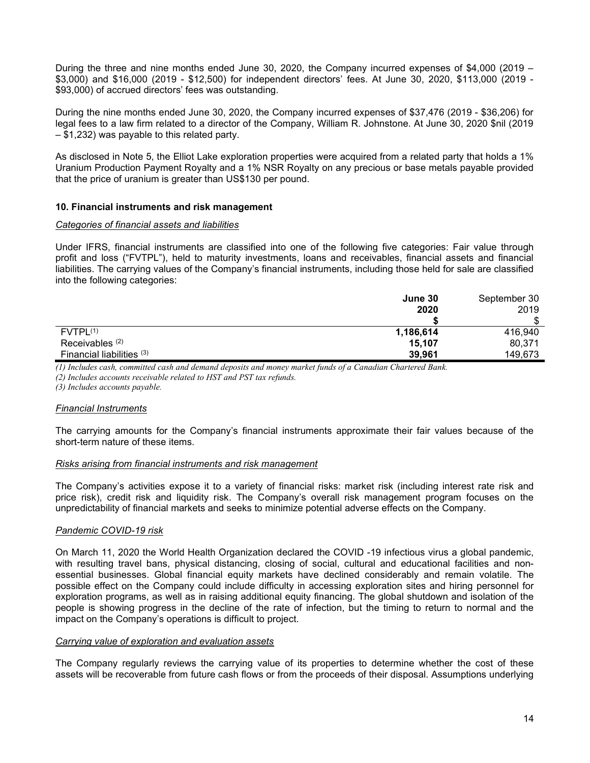During the three and nine months ended June 30, 2020, the Company incurred expenses of \$4,000 (2019 – \$3,000) and \$16,000 (2019 - \$12,500) for independent directors' fees. At June 30, 2020, \$113,000 (2019 - \$93,000) of accrued directors' fees was outstanding.

During the nine months ended June 30, 2020, the Company incurred expenses of \$37,476 (2019 - \$36,206) for legal fees to a law firm related to a director of the Company, William R. Johnstone. At June 30, 2020 \$nil (2019 – \$1,232) was payable to this related party.

As disclosed in Note 5, the Elliot Lake exploration properties were acquired from a related party that holds a 1% Uranium Production Payment Royalty and a 1% NSR Royalty on any precious or base metals payable provided that the price of uranium is greater than US\$130 per pound.

## 10. Financial instruments and risk management

#### Categories of financial assets and liabilities

Under IFRS, financial instruments are classified into one of the following five categories: Fair value through profit and loss ("FVTPL"), held to maturity investments, loans and receivables, financial assets and financial liabilities. The carrying values of the Company's financial instruments, including those held for sale are classified into the following categories:

|                           | June 30   | September 30 |
|---------------------------|-----------|--------------|
|                           | 2020      | 2019         |
|                           |           |              |
| $FVTPL^{(1)}$             | 1,186,614 | 416,940      |
| Receivables $(2)$         | 15,107    | 80,371       |
| Financial liabilities (3) | 39,961    | 149,673      |

(1) Includes cash, committed cash and demand deposits and money market funds of a Canadian Chartered Bank. (2) Includes accounts receivable related to HST and PST tax refunds.

(3) Includes accounts payable.

#### Financial Instruments

The carrying amounts for the Company's financial instruments approximate their fair values because of the short-term nature of these items.

#### Risks arising from financial instruments and risk management

The Company's activities expose it to a variety of financial risks: market risk (including interest rate risk and price risk), credit risk and liquidity risk. The Company's overall risk management program focuses on the unpredictability of financial markets and seeks to minimize potential adverse effects on the Company.

#### Pandemic COVID-19 risk

On March 11, 2020 the World Health Organization declared the COVID -19 infectious virus a global pandemic, with resulting travel bans, physical distancing, closing of social, cultural and educational facilities and nonessential businesses. Global financial equity markets have declined considerably and remain volatile. The possible effect on the Company could include difficulty in accessing exploration sites and hiring personnel for exploration programs, as well as in raising additional equity financing. The global shutdown and isolation of the people is showing progress in the decline of the rate of infection, but the timing to return to normal and the impact on the Company's operations is difficult to project.

#### Carrying value of exploration and evaluation assets

The Company regularly reviews the carrying value of its properties to determine whether the cost of these assets will be recoverable from future cash flows or from the proceeds of their disposal. Assumptions underlying